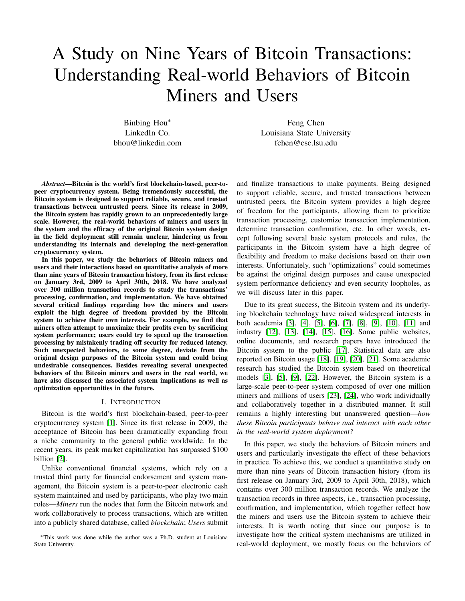# A Study on Nine Years of Bitcoin Transactions: Understanding Real-world Behaviors of Bitcoin Miners and Users

Binbing Hou<sup>∗</sup> LinkedIn Co. bhou@linkedin.com

Feng Chen Louisiana State University fchen@csc.lsu.edu

*Abstract*—Bitcoin is the world's first blockchain-based, peer-topeer cryptocurrency system. Being tremendously successful, the Bitcoin system is designed to support reliable, secure, and trusted transactions between untrusted peers. Since its release in 2009, the Bitcoin system has rapidly grown to an unprecedentedly large scale. However, the real-world behaviors of miners and users in the system and the efficacy of the original Bitcoin system design in the field deployment still remain unclear, hindering us from understanding its internals and developing the next-generation cryptocurrency system.

In this paper, we study the behaviors of Bitcoin miners and users and their interactions based on quantitative analysis of more than nine years of Bitcoin transaction history, from its first release on January 3rd, 2009 to April 30th, 2018. We have analyzed over 300 million transaction records to study the transactions' processing, confirmation, and implementation. We have obtained several critical findings regarding how the miners and users exploit the high degree of freedom provided by the Bitcoin system to achieve their own interests. For example, we find that miners often attempt to maximize their profits even by sacrificing system performance; users could try to speed up the transaction processing by mistakenly trading off security for reduced latency. Such unexpected behaviors, to some degree, deviate from the original design purposes of the Bitcoin system and could bring undesirable consequences. Besides revealing several unexpected behaviors of the Bitcoin miners and users in the real world, we have also discussed the associated system implications as well as optimization opportunities in the future.

#### I. INTRODUCTION

Bitcoin is the world's first blockchain-based, peer-to-peer cryptocurrency system [\[1\]](#page-11-0). Since its first release in 2009, the acceptance of Bitcoin has been dramatically expanding from a niche community to the general public worldwide. In the recent years, its peak market capitalization has surpassed \$100 billion [\[2\]](#page-11-1).

Unlike conventional financial systems, which rely on a trusted third party for financial endorsement and system management, the Bitcoin system is a peer-to-peer electronic cash system maintained and used by participants, who play two main roles—*Miners* run the nodes that form the Bitcoin network and work collaboratively to process transactions, which are written into a publicly shared database, called *blockchain*; *Users* submit

<sup>∗</sup>This work was done while the author was a Ph.D. student at Louisiana State University.

and finalize transactions to make payments. Being designed to support reliable, secure, and trusted transactions between untrusted peers, the Bitcoin system provides a high degree of freedom for the participants, allowing them to prioritize transaction processing, customize transaction implementation, determine transaction confirmation, etc. In other words, except following several basic system protocols and rules, the participants in the Bitcoin system have a high degree of flexibility and freedom to make decisions based on their own interests. Unfortunately, such "optimizations" could sometimes be against the original design purposes and cause unexpected system performance deficiency and even security loopholes, as we will discuss later in this paper.

Due to its great success, the Bitcoin system and its underlying blockchain technology have raised widespread interests in both academia [\[3\]](#page-11-2), [\[4\]](#page-11-3), [\[5\]](#page-11-4), [\[6\]](#page-11-5), [\[7\]](#page-11-6), [\[8\]](#page-11-7), [\[9\]](#page-11-8), [\[10\]](#page-11-9), [\[11\]](#page-11-10) and industry [\[12\]](#page-11-11), [\[13\]](#page-11-12), [\[14\]](#page-11-13), [\[15\]](#page-11-14), [\[16\]](#page-12-0). Some public websites, online documents, and research papers have introduced the Bitcoin system to the public [\[17\]](#page-12-1). Statistical data are also reported on Bitcoin usage [\[18\]](#page-12-2), [\[19\]](#page-12-3), [\[20\]](#page-12-4), [\[21\]](#page-12-5). Some academic research has studied the Bitcoin system based on theoretical models [\[3\]](#page-11-2), [\[5\]](#page-11-4), [\[9\]](#page-11-8), [\[22\]](#page-12-6). However, the Bitcoin system is a large-scale peer-to-peer system composed of over one million miners and millions of users [\[23\]](#page-12-7), [\[24\]](#page-12-8), who work individually and collaboratively together in a distributed manner. It still remains a highly interesting but unanswered question—*how these Bitcoin participants behave and interact with each other in the real-world system deployment?*

In this paper, we study the behaviors of Bitcoin miners and users and particularly investigate the effect of these behaviors in practice. To achieve this, we conduct a quantitative study on more than nine years of Bitcoin transaction history (from its first release on January 3rd, 2009 to April 30th, 2018), which contains over 300 million transaction records. We analyze the transaction records in three aspects, i.e., transaction processing, confirmation, and implementation, which together reflect how the miners and users use the Bitcoin system to achieve their interests. It is worth noting that since our purpose is to investigate how the critical system mechanisms are utilized in real-world deployment, we mostly focus on the behaviors of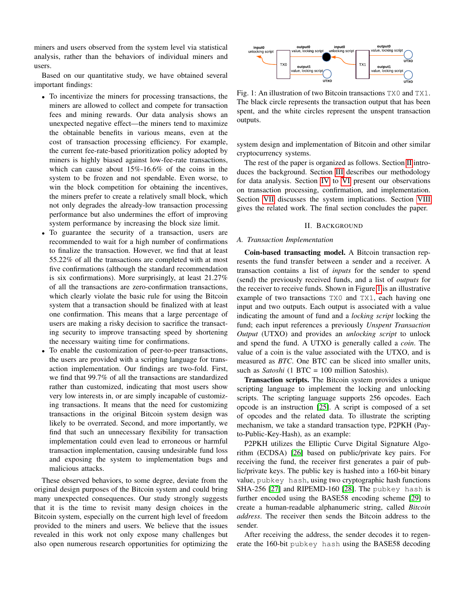miners and users observed from the system level via statistical analysis, rather than the behaviors of individual miners and users.

Based on our quantitative study, we have obtained several important findings:

- To incentivize the miners for processing transactions, the miners are allowed to collect and compete for transaction fees and mining rewards. Our data analysis shows an unexpected negative effect—the miners tend to maximize the obtainable benefits in various means, even at the cost of transaction processing efficiency. For example, the current fee-rate-based prioritization policy adopted by miners is highly biased against low-fee-rate transactions, which can cause about 15%-16.6% of the coins in the system to be frozen and not spendable. Even worse, to win the block competition for obtaining the incentives, the miners prefer to create a relatively small block, which not only degrades the already-low transaction processing performance but also undermines the effort of improving system performance by increasing the block size limit.
- To guarantee the security of a transaction, users are recommended to wait for a high number of confirmations to finalize the transaction. However, we find that at least 55.22% of all the transactions are completed with at most five confirmations (although the standard recommendation is six confirmations). More surprisingly, at least 21.27% of all the transactions are zero-confirmation transactions, which clearly violate the basic rule for using the Bitcoin system that a transaction should be finalized with at least one confirmation. This means that a large percentage of users are making a risky decision to sacrifice the transacting security to improve transacting speed by shortening the necessary waiting time for confirmations.
- To enable the customization of peer-to-peer transactions, the users are provided with a scripting language for transaction implementation. Our findings are two-fold. First, we find that 99.7% of all the transactions are standardized rather than customized, indicating that most users show very low interests in, or are simply incapable of customizing transactions. It means that the need for customizing transactions in the original Bitcoin system design was likely to be overrated. Second, and more importantly, we find that such an unnecessary flexibility for transaction implementation could even lead to erroneous or harmful transaction implementation, causing undesirable fund loss and exposing the system to implementation bugs and malicious attacks.

These observed behaviors, to some degree, deviate from the original design purposes of the Bitcoin system and could bring many unexpected consequences. Our study strongly suggests that it is the time to revisit many design choices in the Bitcoin system, especially on the current high level of freedom provided to the miners and users. We believe that the issues revealed in this work not only expose many challenges but also open numerous research opportunities for optimizing the

<span id="page-1-1"></span>

Fig. 1: An illustration of two Bitcoin transactions TX0 and TX1. The black circle represents the transaction output that has been spent, and the white circles represent the unspent transaction outputs.

system design and implementation of Bitcoin and other similar cryptocurrency systems.

The rest of the paper is organized as follows. Section [II](#page-1-0) introduces the background. Section [III](#page-3-0) describes our methodology for data analysis. Section [IV](#page-3-1) to [VI](#page-8-0) present our observations on transaction processing, confirmation, and implementation. Section [VII](#page-9-0) discusses the system implications. Section [VIII](#page-11-15) gives the related work. The final section concludes the paper.

#### II. BACKGROUND

#### <span id="page-1-0"></span>*A. Transaction Implementation*

Coin-based transacting model. A Bitcoin transaction represents the fund transfer between a sender and a receiver. A transaction contains a list of *inputs* for the sender to spend (send) the previously received funds, and a list of *outputs* for the receiver to receive funds. Shown in Figure [1](#page-1-1) is an illustrative example of two transactions TX0 and TX1, each having one input and two outputs. Each output is associated with a value indicating the amount of fund and a *locking script* locking the fund; each input references a previously *Unspent Transaction Output* (UTXO) and provides an *unlocking script* to unlock and spend the fund. A UTXO is generally called a *coin*. The value of a coin is the value associated with the UTXO, and is measured as *BTC*. One BTC can be sliced into smaller units, such as *Satoshi* (1 BTC = 100 million Satoshis).

Transaction scripts. The Bitcoin system provides a unique scripting language to implement the locking and unlocking scripts. The scripting language supports 256 opcodes. Each opcode is an instruction [\[25\]](#page-12-9). A script is composed of a set of opcodes and the related data. To illustrate the scripting mechanism, we take a standard transaction type, P2PKH (Payto-Public-Key-Hash), as an example:

P2PKH utilizes the Elliptic Curve Digital Signature Algorithm (ECDSA) [\[26\]](#page-12-10) based on public/private key pairs. For receiving the fund, the receiver first generates a pair of public/private keys. The public key is hashed into a 160-bit binary value, pubkey hash, using two cryptographic hash functions SHA-256 [\[27\]](#page-12-11) and RIPEMD-160 [\[28\]](#page-12-12). The pubkey hash is further encoded using the BASE58 encoding scheme [\[29\]](#page-12-13) to create a human-readable alphanumeric string, called *Bitcoin address*. The receiver then sends the Bitcoin address to the sender.

After receiving the address, the sender decodes it to regenerate the 160-bit pubkey hash using the BASE58 decoding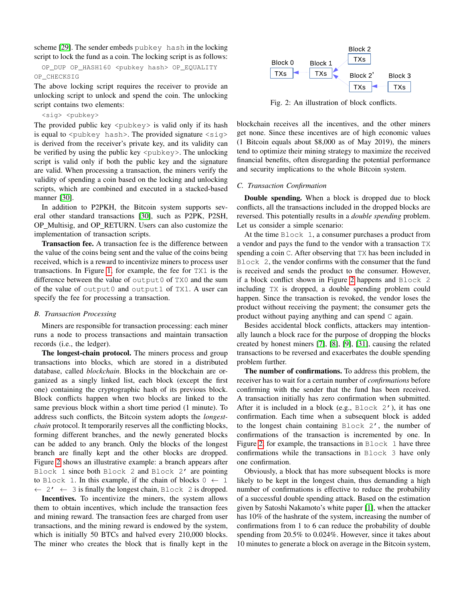scheme [\[29\]](#page-12-13). The sender embeds pubkey hash in the locking script to lock the fund as a coin. The locking script is as follows:

OP\_DUP OP\_HASH160 <pubkey hash> OP\_EQUALITY OP\_CHECKSIG

The above locking script requires the receiver to provide an unlocking script to unlock and spend the coin. The unlocking script contains two elements:

## <sig> <pubkey>

The provided public key  $\langle \text{pubkey} \rangle$  is valid only if its hash is equal to  $\langle \text{public} \rangle$  hash>. The provided signature  $\langle \text{side} \rangle$ is derived from the receiver's private key, and its validity can be verified by using the public key  $\langle \text{pubkey} \rangle$ . The unlocking script is valid only if both the public key and the signature are valid. When processing a transaction, the miners verify the validity of spending a coin based on the locking and unlocking scripts, which are combined and executed in a stacked-based manner [\[30\]](#page-12-14).

In addition to P2PKH, the Bitcoin system supports several other standard transactions [\[30\]](#page-12-14), such as P2PK, P2SH, OP Multisig, and OP RETURN. Users can also customize the implementation of transaction scripts.

Transaction fee. A transaction fee is the difference between the value of the coins being sent and the value of the coins being received, which is a reward to incentivize miners to process user transactions. In Figure [1,](#page-1-1) for example, the fee for TX1 is the difference between the value of output0 of TX0 and the sum of the value of output0 and output1 of TX1. A user can specify the fee for processing a transaction.

## <span id="page-2-1"></span>*B. Transaction Processing*

Miners are responsible for transaction processing: each miner runs a node to process transactions and maintain transaction records (i.e., the ledger).

The longest-chain protocol. The miners process and group transactions into blocks, which are stored in a distributed database, called *blockchain*. Blocks in the blockchain are organized as a singly linked list, each block (except the first one) containing the cryptographic hash of its previous block. Block conflicts happen when two blocks are linked to the same previous block within a short time period (1 minute). To address such conflicts, the Bitcoin system adopts the *longestchain* protocol. It temporarily reserves all the conflicting blocks, forming different branches, and the newly generated blocks can be added to any branch. Only the blocks of the longest branch are finally kept and the other blocks are dropped. Figure [2](#page-2-0) shows an illustrative example: a branch appears after Block 1 since both Block 2 and Block 2' are pointing to Block 1. In this example, if the chain of blocks  $0 \leftarrow 1$  $\leftarrow$  2'  $\leftarrow$  3 is finally the longest chain, Block 2 is dropped.

Incentives. To incentivize the miners, the system allows them to obtain incentives, which include the transaction fees and mining reward. The transaction fees are charged from user transactions, and the mining reward is endowed by the system, which is initially 50 BTCs and halved every 210,000 blocks. The miner who creates the block that is finally kept in the

<span id="page-2-0"></span>

Fig. 2: An illustration of block conflicts.

blockchain receives all the incentives, and the other miners get none. Since these incentives are of high economic values (1 Bitcoin equals about \$8,000 as of May 2019), the miners tend to optimize their mining strategy to maximize the received financial benefits, often disregarding the potential performance and security implications to the whole Bitcoin system.

#### <span id="page-2-2"></span>*C. Transaction Confirmation*

Double spending. When a block is dropped due to block conflicts, all the transactions included in the dropped blocks are reversed. This potentially results in a *double spending* problem. Let us consider a simple scenario:

At the time Block 1, a consumer purchases a product from a vendor and pays the fund to the vendor with a transaction TX spending a coin C. After observing that TX has been included in Block 2, the vendor confirms with the consumer that the fund is received and sends the product to the consumer. However, if a block conflict shown in Figure [2](#page-2-0) happens and Block 2 including TX is dropped, a double spending problem could happen. Since the transaction is revoked, the vendor loses the product without receiving the payment; the consumer gets the product without paying anything and can spend C again.

Besides accidental block conflicts, attackers may intentionally launch a block race for the purpose of dropping the blocks created by honest miners [\[7\]](#page-11-6), [\[8\]](#page-11-7), [\[9\]](#page-11-8), [\[31\]](#page-12-15), causing the related transactions to be reversed and exacerbates the double spending problem further.

The number of confirmations. To address this problem, the receiver has to wait for a certain number of *confirmations* before confirming with the sender that the fund has been received. A transaction initially has zero confirmation when submitted. After it is included in a block (e.g., Block 2'), it has one confirmation. Each time when a subsequent block is added to the longest chain containing Block 2', the number of confirmations of the transaction is incremented by one. In Figure [2,](#page-2-0) for example, the transactions in Block 1 have three confirmations while the transactions in Block 3 have only one confirmation.

Obviously, a block that has more subsequent blocks is more likely to be kept in the longest chain, thus demanding a high number of confirmations is effective to reduce the probability of a successful double spending attack. Based on the estimation given by Satoshi Nakamoto's white paper [\[1\]](#page-11-0), when the attacker has 10% of the hashrate of the system, increasing the number of confirmations from 1 to 6 can reduce the probability of double spending from 20.5% to 0.024%. However, since it takes about 10 minutes to generate a block on average in the Bitcoin system,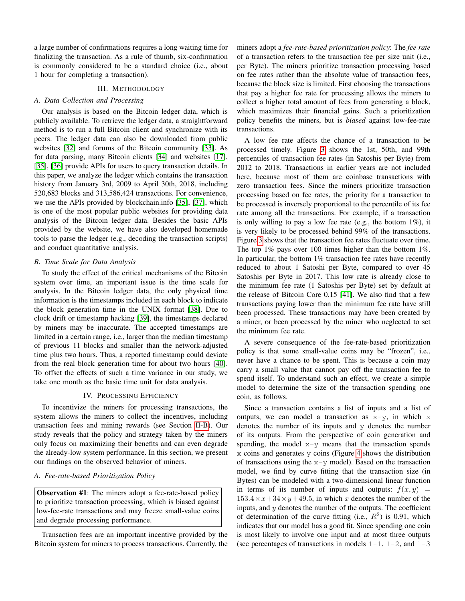a large number of confirmations requires a long waiting time for finalizing the transaction. As a rule of thumb, six-confirmation is commonly considered to be a standard choice (i.e., about 1 hour for completing a transaction).

## III. METHODOLOGY

# <span id="page-3-0"></span>*A. Data Collection and Processing*

Our analysis is based on the Bitcoin ledger data, which is publicly available. To retrieve the ledger data, a straightforward method is to run a full Bitcoin client and synchronize with its peers. The ledger data can also be downloaded from public websites [\[32\]](#page-12-16) and forums of the Bitcoin community [\[33\]](#page-12-17). As for data parsing, many Bitcoin clients [\[34\]](#page-12-18) and websites [\[17\]](#page-12-1), [\[35\]](#page-12-19), [\[36\]](#page-12-20) provide APIs for users to query transaction details. In this paper, we analyze the ledger which contains the transaction history from January 3rd, 2009 to April 30th, 2018, including 520,683 blocks and 313,586,424 transactions. For convenience, we use the APIs provided by blockchain.info [\[35\]](#page-12-19), [\[37\]](#page-12-21), which is one of the most popular public websites for providing data analysis of the Bitcoin ledger data. Besides the basic APIs provided by the website, we have also developed homemade tools to parse the ledger (e.g., decoding the transaction scripts) and conduct quantitative analysis.

# *B. Time Scale for Data Analysis*

To study the effect of the critical mechanisms of the Bitcoin system over time, an important issue is the time scale for analysis. In the Bitcoin ledger data, the only physical time information is the timestamps included in each block to indicate the block generation time in the UNIX format [\[38\]](#page-12-22). Due to clock drift or timestamp hacking [\[39\]](#page-12-23), the timestamps declared by miners may be inaccurate. The accepted timestamps are limited in a certain range, i.e., larger than the median timestamp of previous 11 blocks and smaller than the network-adjusted time plus two hours. Thus, a reported timestamp could deviate from the real block generation time for about two hours [\[40\]](#page-12-24). To offset the effects of such a time variance in our study, we take one month as the basic time unit for data analysis.

## IV. PROCESSING EFFICIENCY

<span id="page-3-1"></span>To incentivize the miners for processing transactions, the system allows the miners to collect the incentives, including transaction fees and mining rewards (see Section [II-B\)](#page-2-1). Our study reveals that the policy and strategy taken by the miners only focus on maximizing their benefits and can even degrade the already-low system performance. In this section, we present our findings on the observed behavior of miners.

## *A. Fee-rate-based Prioritization Policy*

Observation #1: The miners adopt a fee-rate-based policy to prioritize transaction processing, which is biased against low-fee-rate transactions and may freeze small-value coins and degrade processing performance.

Transaction fees are an important incentive provided by the Bitcoin system for miners to process transactions. Currently, the miners adopt a *fee-rate-based prioritization policy*: The *fee rate* of a transaction refers to the transaction fee per size unit (i.e., per Byte). The miners prioritize transaction processing based on fee rates rather than the absolute value of transaction fees, because the block size is limited. First choosing the transactions that pay a higher fee rate for processing allows the miners to collect a higher total amount of fees from generating a block, which maximizes their financial gains. Such a prioritization policy benefits the miners, but is *biased* against low-fee-rate transactions.

A low fee rate affects the chance of a transaction to be processed timely. Figure [3](#page-4-0) shows the 1st, 50th, and 99th percentiles of transaction fee rates (in Satoshis per Byte) from 2012 to 2018. Transactions in earlier years are not included here, because most of them are coinbase transactions with zero transaction fees. Since the miners prioritize transaction processing based on fee rates, the priority for a transaction to be processed is inversely proportional to the percentile of its fee rate among all the transactions. For example, if a transaction is only willing to pay a low fee rate (e.g., the bottom 1%), it is very likely to be processed behind 99% of the transactions. Figure [3](#page-4-0) shows that the transaction fee rates fluctuate over time. The top 1% pays over 100 times higher than the bottom 1%. In particular, the bottom 1% transaction fee rates have recently reduced to about 1 Satoshi per Byte, compared to over 45 Satoshis per Byte in 2017. This low rate is already close to the minimum fee rate (1 Satoshis per Byte) set by default at the release of Bitcoin Core 0.15 [\[41\]](#page-12-25). We also find that a few transactions paying lower than the minimum fee rate have still been processed. These transactions may have been created by a miner, or been processed by the miner who neglected to set the minimum fee rate.

A severe consequence of the fee-rate-based prioritization policy is that some small-value coins may be "frozen", i.e., never have a chance to be spent. This is because a coin may carry a small value that cannot pay off the transaction fee to spend itself. To understand such an effect, we create a simple model to determine the size of the transaction spending one coin, as follows.

Since a transaction contains a list of inputs and a list of outputs, we can model a transaction as  $x-y$ , in which x denotes the number of its inputs and y denotes the number of its outputs. From the perspective of coin generation and spending, the model  $x-y$  means that the transaction spends  $x$  coins and generates  $y$  coins (Figure [4](#page-4-0) shows the distribution of transactions using the  $x-y$  model). Based on the transaction model, we find by curve fitting that the transaction size (in Bytes) can be modeled with a two-dimensional linear function in terms of its number of inputs and outputs:  $f(x, y)$  =  $153.4 \times x + 34 \times y + 49.5$ , in which x denotes the number of the inputs, and  $y$  denotes the number of the outputs. The coefficient of determination of the curve fitting (i.e.,  $R^2$ ) is 0.91, which indicates that our model has a good fit. Since spending one coin is most likely to involve one input and at most three outputs (see percentages of transactions in models  $1-1$ ,  $1-2$ , and  $1-3$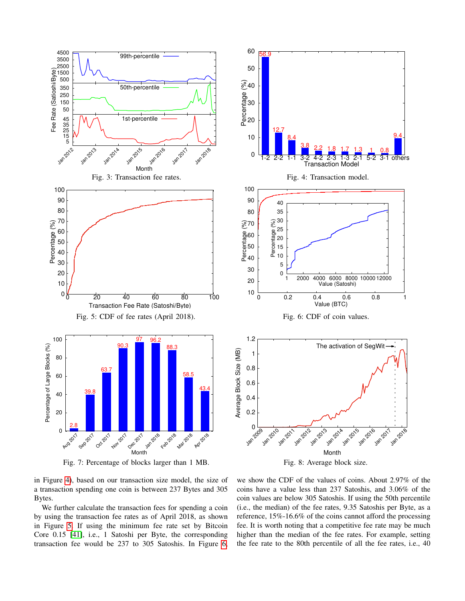<span id="page-4-1"></span><span id="page-4-0"></span>

<span id="page-4-2"></span>in Figure [4\)](#page-4-0), based on our transaction size model, the size of a transaction spending one coin is between 237 Bytes and 305 Bytes.

We further calculate the transaction fees for spending a coin by using the transaction fee rates as of April 2018, as shown in Figure [5.](#page-4-1) If using the minimum fee rate set by Bitcoin Core 0.15 [\[41\]](#page-12-25), i.e., 1 Satoshi per Byte, the corresponding transaction fee would be 237 to 305 Satoshis. In Figure [6,](#page-4-1)

we show the CDF of the values of coins. About 2.97% of the coins have a value less than 237 Satoshis, and 3.06% of the coin values are below 305 Satoshis. If using the 50th percentile (i.e., the median) of the fee rates, 9.35 Satoshis per Byte, as a reference, 15%-16.6% of the coins cannot afford the processing fee. It is worth noting that a competitive fee rate may be much higher than the median of the fee rates. For example, setting the fee rate to the 80th percentile of all the fee rates, i.e., 40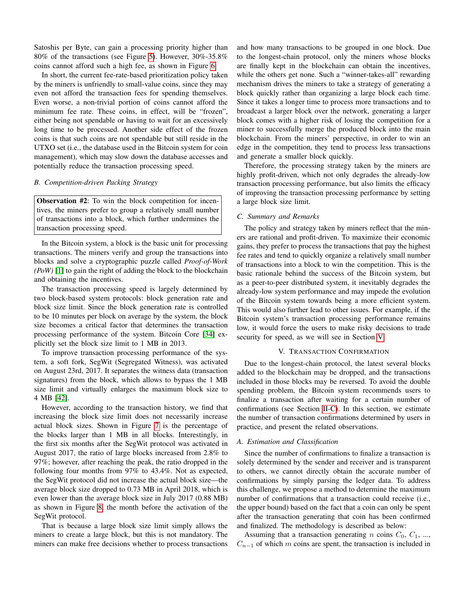Satoshis per Byte, can gain a processing priority higher than 80% of the transactions (see Figure [5\)](#page-4-1). However, 30%-35.8% coins cannot afford such a high fee, as shown in Figure [6.](#page-4-1)

In short, the current fee-rate-based prioritization policy taken by the miners is unfriendly to small-value coins, since they may even not afford the transaction fees for spending themselves. Even worse, a non-trivial portion of coins cannot afford the minimum fee rate. These coins, in effect, will be "frozen", either being not spendable or having to wait for an excessively long time to be processed. Another side effect of the frozen coins is that such coins are not spendable but still reside in the UTXO set (i.e., the database used in the Bitcoin system for coin management), which may slow down the database accesses and potentially reduce the transaction processing speed.

## *B. Competition-driven Packing Strategy*

Observation #2: To win the block competition for incentives, the miners prefer to group a relatively small number of transactions into a block, which further undermines the transaction processing speed.

In the Bitcoin system, a block is the basic unit for processing transactions. The miners verify and group the transactions into blocks and solve a cryptographic puzzle called *Proof-of-Work (PoW)* [\[1\]](#page-11-0) to gain the right of adding the block to the blockchain and obtaining the incentives.

The transaction processing speed is largely determined by two block-based system protocols: block generation rate and block size limit. Since the block generation rate is controlled to be 10 minutes per block on average by the system, the block size becomes a critical factor that determines the transaction processing performance of the system. Bitcoin Core [\[34\]](#page-12-18) explicitly set the block size limit to 1 MB in 2013.

To improve transaction processing performance of the system, a soft fork, SegWit (Segregated Witness), was activated on August 23rd, 2017. It separates the witness data (transaction signatures) from the block, which allows to bypass the 1 MB size limit and virtually enlarges the maximum block size to 4 MB [\[42\]](#page-12-26).

However, according to the transaction history, we find that increasing the block size limit does not necessarily increase actual block sizes. Shown in Figure [7](#page-4-2) is the percentage of the blocks larger than 1 MB in all blocks. Interestingly, in the first six months after the SegWit protocol was activated in August 2017, the ratio of large blocks increased from 2.8% to 97%; however, after reaching the peak, the ratio dropped in the following four months from 97% to 43.4%. Not as expected, the SegWit protocol did not increase the actual block size—the average block size dropped to 0.73 MB in April 2018, which is even lower than the average block size in July 2017 (0.88 MB) as shown in Figure [8,](#page-4-2) the month before the activation of the SegWit protocol.

That is because a large block size limit simply allows the miners to create a large block, but this is not mandatory. The miners can make free decisions whether to process transactions and how many transactions to be grouped in one block. Due to the longest-chain protocol, only the miners whose blocks are finally kept in the blockchain can obtain the incentives, while the others get none. Such a "winner-takes-all" rewarding mechanism drives the miners to take a strategy of generating a block quickly rather than organizing a large block each time. Since it takes a longer time to process more transactions and to broadcast a larger block over the network, generating a larger block comes with a higher risk of losing the competition for a miner to successfully merge the produced block into the main blockchain. From the miners' perspective, in order to win an edge in the competition, they tend to process less transactions and generate a smaller block quickly.

Therefore, the processing strategy taken by the miners are highly profit-driven, which not only degrades the already-low transaction processing performance, but also limits the efficacy of improving the transaction processing performance by setting a large block size limit.

# *C. Summary and Remarks*

The policy and strategy taken by miners reflect that the miners are rational and profit-driven. To maximize their economic gains, they prefer to process the transactions that pay the highest fee rates and tend to quickly organize a relatively small number of transactions into a block to win the competition. This is the basic rationale behind the success of the Bitcoin system, but as a peer-to-peer distributed system, it inevitably degrades the already-low system performance and may impede the evolution of the Bitcoin system towards being a more efficient system. This would also further lead to other issues. For example, if the Bitcoin system's transaction processing performance remains low, it would force the users to make risky decisions to trade security for speed, as we will see in Section [V.](#page-5-0)

## V. TRANSACTION CONFIRMATION

<span id="page-5-0"></span>Due to the longest-chain protocol, the latest several blocks added to the blockchain may be dropped, and the transactions included in those blocks may be reversed. To avoid the double spending problem, the Bitcoin system recommends users to finalize a transaction after waiting for a certain number of confirmations (see Section [II-C\)](#page-2-2). In this section, we estimate the number of transaction confirmations determined by users in practice, and present the related observations.

## *A. Estimation and Classification*

Since the number of confirmations to finalize a transaction is solely determined by the sender and receiver and is transparent to others, we cannot directly obtain the accurate number of confirmations by simply parsing the ledger data. To address this challenge, we propose a method to determine the maximum number of confirmations that a transaction could receive (i.e., the upper bound) based on the fact that a coin can only be spent after the transaction generating that coin has been confirmed and finalized. The methodology is described as below:

Assuming that a transaction generating n coins  $C_0$ ,  $C_1$ , ...,  $C_{n-1}$  of which m coins are spent, the transaction is included in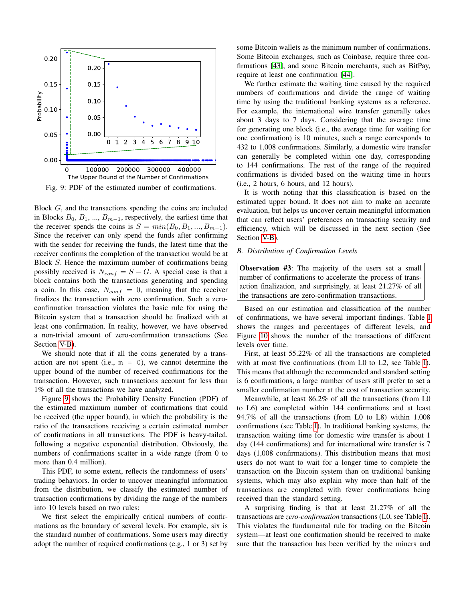<span id="page-6-1"></span>

Fig. 9: PDF of the estimated number of confirmations.

Block G, and the transactions spending the coins are included in Blocks  $B_0, B_1, ..., B_{m-1}$ , respectively, the earliest time that the receiver spends the coins is  $S = min(B_0, B_1, ..., B_{m-1}).$ Since the receiver can only spend the funds after confirming with the sender for receiving the funds, the latest time that the receiver confirms the completion of the transaction would be at Block S. Hence the maximum number of confirmations being possibly received is  $N_{conf} = S - G$ . A special case is that a block contains both the transactions generating and spending a coin. In this case,  $N_{conf} = 0$ , meaning that the receiver finalizes the transaction with zero confirmation. Such a zeroconfirmation transaction violates the basic rule for using the Bitcoin system that a transaction should be finalized with at least one confirmation. In reality, however, we have observed a non-trivial amount of zero-confirmation transactions (See Section [V-B\)](#page-6-0).

We should note that if all the coins generated by a transaction are not spent (i.e.,  $m = 0$ ), we cannot determine the upper bound of the number of received confirmations for the transaction. However, such transactions account for less than 1% of all the transactions we have analyzed.

Figure [9](#page-6-1) shows the Probability Density Function (PDF) of the estimated maximum number of confirmations that could be received (the upper bound), in which the probability is the ratio of the transactions receiving a certain estimated number of confirmations in all transactions. The PDF is heavy-tailed, following a negative exponential distribution. Obviously, the numbers of confirmations scatter in a wide range (from 0 to more than 0.4 million).

This PDF, to some extent, reflects the randomness of users' trading behaviors. In order to uncover meaningful information from the distribution, we classify the estimated number of transaction confirmations by dividing the range of the numbers into 10 levels based on two rules:

We first select the empirically critical numbers of confirmations as the boundary of several levels. For example, six is the standard number of confirmations. Some users may directly adopt the number of required confirmations (e.g., 1 or 3) set by

some Bitcoin wallets as the minimum number of confirmations. Some Bitcoin exchanges, such as Coinbase, require three confirmations [\[43\]](#page-12-27), and some Bitcoin merchants, such as BitPay, require at least one confirmation [\[44\]](#page-12-28).

We further estimate the waiting time caused by the required numbers of confirmations and divide the range of waiting time by using the traditional banking systems as a reference. For example, the international wire transfer generally takes about 3 days to 7 days. Considering that the average time for generating one block (i.e., the average time for waiting for one confirmation) is 10 minutes, such a range corresponds to 432 to 1,008 confirmations. Similarly, a domestic wire transfer can generally be completed within one day, corresponding to 144 confirmations. The rest of the range of the required confirmations is divided based on the waiting time in hours (i.e., 2 hours, 6 hours, and 12 hours).

It is worth noting that this classification is based on the estimated upper bound. It does not aim to make an accurate evaluation, but helps us uncover certain meaningful information that can reflect users' preferences on transacting security and efficiency, which will be discussed in the next section (See Section [V-B\)](#page-6-0).

## <span id="page-6-0"></span>*B. Distribution of Confirmation Levels*

Observation #3: The majority of the users set a small number of confirmations to accelerate the process of transaction finalization, and surprisingly, at least 21.27% of all the transactions are zero-confirmation transactions.

Based on our estimation and classification of the number of confirmations, we have several important findings. Table [I](#page-7-0) shows the ranges and percentages of different levels, and Figure [10](#page-7-1) shows the number of the transactions of different levels over time.

First, at least 55.22% of all the transactions are completed with at most five confirmations (from L0 to L2, see Table [I\)](#page-7-0). This means that although the recommended and standard setting is 6 confirmations, a large number of users still prefer to set a smaller confirmation number at the cost of transaction security.

Meanwhile, at least 86.2% of all the transactions (from L0 to L6) are completed within 144 confirmations and at least 94.7% of all the transactions (from L0 to L8) within 1,008 confirmations (see Table [I\)](#page-7-0). In traditional banking systems, the transaction waiting time for domestic wire transfer is about 1 day (144 confirmations) and for international wire transfer is 7 days (1,008 confirmations). This distribution means that most users do not want to wait for a longer time to complete the transaction on the Bitcoin system than on traditional banking systems, which may also explain why more than half of the transactions are completed with fewer confirmations being received than the standard setting.

A surprising finding is that at least 21.27% of all the transactions are *zero-confirmation* transactions (L0, see Table [I\)](#page-7-0). This violates the fundamental rule for trading on the Bitcoin system—at least one confirmation should be received to make sure that the transaction has been verified by the miners and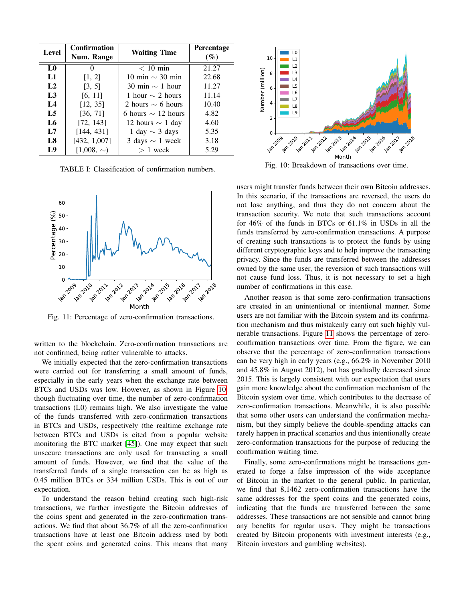<span id="page-7-1"></span><span id="page-7-0"></span>

| Level          | Confirmation<br>Num. Range | <b>Waiting Time</b>     | <b>Percentage</b><br>$(\%)$ |
|----------------|----------------------------|-------------------------|-----------------------------|
| L <sub>0</sub> | $\Omega$                   | $< 10$ min              | 21.27                       |
| L1             | [1, 2]                     | 10 min $\sim$ 30 min    | 22.68                       |
| L <sub>2</sub> | [3, 5]                     | 30 min $\sim$ 1 hour    | 11.27                       |
| L <sub>3</sub> | [6, 11]                    | 1 hour $\sim$ 2 hours   | 11.14                       |
| $L_{\rm A}$    | [12, 35]                   | 2 hours $\sim$ 6 hours  | 10.40                       |
| L <sub>5</sub> | [36, 71]                   | 6 hours $\sim$ 12 hours | 4.82                        |
| L6             | [72, 143]                  | 12 hours $\sim$ 1 day   | 4.60                        |
| L7             | [144, 431]                 | 1 day $\sim$ 3 days     | 5.35                        |
| L8             | [432, 1,007]               | 3 days $\sim$ 1 week    | 3.18                        |
| L9             | $[1,008, \sim)$            | $> 1$ week              | 5.29                        |

TABLE I: Classification of confirmation numbers.

<span id="page-7-2"></span>

Fig. 11: Percentage of zero-confirmation transactions.

written to the blockchain. Zero-confirmation transactions are not confirmed, being rather vulnerable to attacks.

We initially expected that the zero-confirmation transactions were carried out for transferring a small amount of funds, especially in the early years when the exchange rate between BTCs and USDs was low. However, as shown in Figure [10,](#page-7-1) though fluctuating over time, the number of zero-confirmation transactions (L0) remains high. We also investigate the value of the funds transferred with zero-confirmation transactions in BTCs and USDs, respectively (the realtime exchange rate between BTCs and USDs is cited from a popular website monitoring the BTC market [\[45\]](#page-12-29)). One may expect that such unsecure transactions are only used for transacting a small amount of funds. However, we find that the value of the transferred funds of a single transaction can be as high as 0.45 million BTCs or 334 million USDs. This is out of our expectation.

To understand the reason behind creating such high-risk transactions, we further investigate the Bitcoin addresses of the coins spent and generated in the zero-confirmation transactions. We find that about 36.7% of all the zero-confirmation transactions have at least one Bitcoin address used by both the spent coins and generated coins. This means that many



Fig. 10: Breakdown of transactions over time.

users might transfer funds between their own Bitcoin addresses. In this scenario, if the transactions are reversed, the users do not lose anything, and thus they do not concern about the transaction security. We note that such transactions account for 46% of the funds in BTCs or 61.1% in USDs in all the funds transferred by zero-confirmation transactions. A purpose of creating such transactions is to protect the funds by using different cryptographic keys and to help improve the transacting privacy. Since the funds are transferred between the addresses owned by the same user, the reversion of such transactions will not cause fund loss. Thus, it is not necessary to set a high number of confirmations in this case.

Another reason is that some zero-confirmation transactions are created in an unintentional or intentional manner. Some users are not familiar with the Bitcoin system and its confirmation mechanism and thus mistakenly carry out such highly vulnerable transactions. Figure [11](#page-7-2) shows the percentage of zeroconfirmation transactions over time. From the figure, we can observe that the percentage of zero-confirmation transactions can be very high in early years (e.g., 66.2% in November 2010 and 45.8% in August 2012), but has gradually decreased since 2015. This is largely consistent with our expectation that users gain more knowledge about the confirmation mechanism of the Bitcoin system over time, which contributes to the decrease of zero-confirmation transactions. Meanwhile, it is also possible that some other users can understand the confirmation mechanism, but they simply believe the double-spending attacks can rarely happen in practical scenarios and thus intentionally create zero-conformation transactions for the purpose of reducing the confirmation waiting time.

Finally, some zero-confirmations might be transactions generated to forge a false impression of the wide acceptance of Bitcoin in the market to the general public. In particular, we find that 8,1462 zero-confirmation transactions have the same addresses for the spent coins and the generated coins, indicating that the funds are transferred between the same addresses. These transactions are not sensible and cannot bring any benefits for regular users. They might be transactions created by Bitcoin proponents with investment interests (e.g., Bitcoin investors and gambling websites).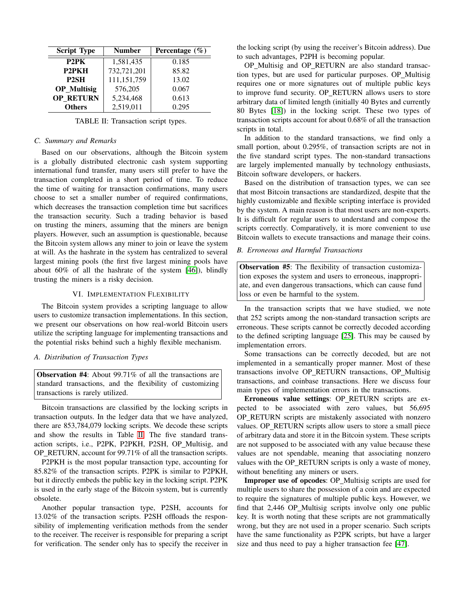<span id="page-8-1"></span>

| <b>Script Type</b> | <b>Number</b> | Percentage $(\% )$ |
|--------------------|---------------|--------------------|
| P <sub>2</sub> PK  | 1,581,435     | 0.185              |
| P <sub>2</sub> PKH | 732,721,201   | 85.82              |
| P <sub>2</sub> SH  | 111,151,759   | 13.02              |
| <b>OP_Multisig</b> | 576,205       | 0.067              |
| <b>OP RETURN</b>   | 5,234,468     | 0.613              |
| <b>Others</b>      | 2,519,011     | 0.295              |

TABLE II: Transaction script types.

#### *C. Summary and Remarks*

Based on our observations, although the Bitcoin system is a globally distributed electronic cash system supporting international fund transfer, many users still prefer to have the transaction completed in a short period of time. To reduce the time of waiting for transaction confirmations, many users choose to set a smaller number of required confirmations, which decreases the transaction completion time but sacrifices the transaction security. Such a trading behavior is based on trusting the miners, assuming that the miners are benign players. However, such an assumption is questionable, because the Bitcoin system allows any miner to join or leave the system at will. As the hashrate in the system has centralized to several largest mining pools (the first five largest mining pools have about 60% of all the hashrate of the system [\[46\]](#page-12-30)), blindly trusting the miners is a risky decision.

#### VI. IMPLEMENTATION FLEXIBILITY

<span id="page-8-0"></span>The Bitcoin system provides a scripting language to allow users to customize transaction implementations. In this section, we present our observations on how real-world Bitcoin users utilize the scripting language for implementing transactions and the potential risks behind such a highly flexible mechanism.

## *A. Distribution of Transaction Types*

Observation #4: About 99.71% of all the transactions are standard transactions, and the flexibility of customizing transactions is rarely utilized.

Bitcoin transactions are classified by the locking scripts in transaction outputs. In the ledger data that we have analyzed, there are 853,784,079 locking scripts. We decode these scripts and show the results in Table [II.](#page-8-1) The five standard transaction scripts, i.e., P2PK, P2PKH, P2SH, OP Multisig, and OP RETURN, account for 99.71% of all the transaction scripts.

P2PKH is the most popular transaction type, accounting for 85.82% of the transaction scripts. P2PK is similar to P2PKH, but it directly embeds the public key in the locking script. P2PK is used in the early stage of the Bitcoin system, but is currently obsolete.

Another popular transaction type, P2SH, accounts for 13.02% of the transaction scripts. P2SH offloads the responsibility of implementing verification methods from the sender to the receiver. The receiver is responsible for preparing a script for verification. The sender only has to specify the receiver in the locking script (by using the receiver's Bitcoin address). Due to such advantages, P2PH is becoming popular.

OP Multisig and OP RETURN are also standard transaction types, but are used for particular purposes. OP Multisig requires one or more signatures out of multiple public keys to improve fund security. OP RETURN allows users to store arbitrary data of limited length (initially 40 Bytes and currently 80 Bytes [\[18\]](#page-12-2)) in the locking script. These two types of transaction scripts account for about 0.68% of all the transaction scripts in total.

In addition to the standard transactions, we find only a small portion, about 0.295%, of transaction scripts are not in the five standard script types. The non-standard transactions are largely implemented manually by technology enthusiasts, Bitcoin software developers, or hackers.

Based on the distribution of transaction types, we can see that most Bitcoin transactions are standardized, despite that the highly customizable and flexible scripting interface is provided by the system. A main reason is that most users are non-experts. It is difficult for regular users to understand and compose the scripts correctly. Comparatively, it is more convenient to use Bitcoin wallets to execute transactions and manage their coins.

## *B. Erroneous and Harmful Transactions*

Observation #5: The flexibility of transaction customization exposes the system and users to erroneous, inappropriate, and even dangerous transactions, which can cause fund loss or even be harmful to the system.

In the transaction scripts that we have studied, we note that 252 scripts among the non-standard transaction scripts are erroneous. These scripts cannot be correctly decoded according to the defined scripting language [\[25\]](#page-12-9). This may be caused by implementation errors.

Some transactions can be correctly decoded, but are not implemented in a semantically proper manner. Most of these transactions involve OP RETURN transactions, OP Multisig transactions, and coinbase transactions. Here we discuss four main types of implementation errors in the transactions.

Erroneous value settings: OP RETURN scripts are expected to be associated with zero values, but 56,695 OP\_RETURN scripts are mistakenly associated with nonzero values. OP RETURN scripts allow users to store a small piece of arbitrary data and store it in the Bitcoin system. These scripts are not supposed to be associated with any value because these values are not spendable, meaning that associating nonzero values with the OP RETURN scripts is only a waste of money, without benefiting any miners or users.

Improper use of opcodes: OP\_Multisig scripts are used for multiple users to share the possession of a coin and are expected to require the signatures of multiple public keys. However, we find that 2,446 OP Multisig scripts involve only one public key. It is worth noting that these scripts are not grammatically wrong, but they are not used in a proper scenario. Such scripts have the same functionality as P2PK scripts, but have a larger size and thus need to pay a higher transaction fee [\[47\]](#page-12-31).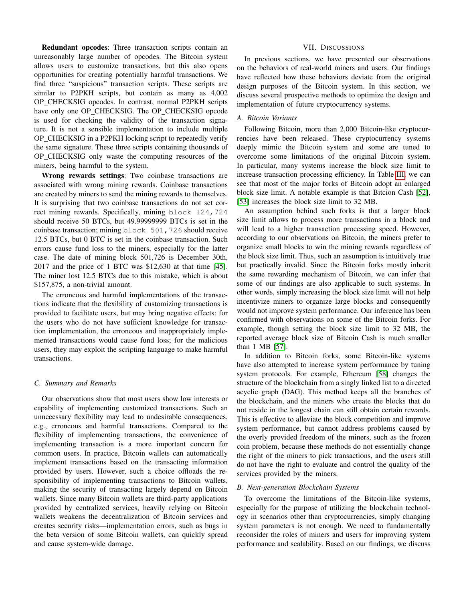Redundant opcodes: Three transaction scripts contain an unreasonably large number of opcodes. The Bitcoin system allows users to customize transactions, but this also opens opportunities for creating potentially harmful transactions. We find three "suspicious" transaction scripts. These scripts are similar to P2PKH scripts, but contain as many as 4,002 OP CHECKSIG opcodes. In contrast, normal P2PKH scripts have only one OP\_CHECKSIG. The OP\_CHECKSIG opcode is used for checking the validity of the transaction signature. It is not a sensible implementation to include multiple OP CHECKSIG in a P2PKH locking script to repeatedly verify the same signature. These three scripts containing thousands of OP CHECKSIG only waste the computing resources of the miners, being harmful to the system.

Wrong rewards settings: Two coinbase transactions are associated with wrong mining rewards. Coinbase transactions are created by miners to send the mining rewards to themselves. It is surprising that two coinbase transactions do not set correct mining rewards. Specifically, mining block 124,724 should receive 50 BTCs, but 49.99999999 BTCs is set in the coinbase transaction; mining block 501,726 should receive 12.5 BTCs, but 0 BTC is set in the coinbase transaction. Such errors cause fund loss to the miners, especially for the latter case. The date of mining block 501,726 is December 30th, 2017 and the price of 1 BTC was \$12,630 at that time [\[45\]](#page-12-29). The miner lost 12.5 BTCs due to this mistake, which is about \$157,875, a non-trivial amount.

The erroneous and harmful implementations of the transactions indicate that the flexibility of customizing transactions is provided to facilitate users, but may bring negative effects: for the users who do not have sufficient knowledge for transaction implementation, the erroneous and inappropriately implemented transactions would cause fund loss; for the malicious users, they may exploit the scripting language to make harmful transactions.

## *C. Summary and Remarks*

Our observations show that most users show low interests or capability of implementing customized transactions. Such an unnecessary flexibility may lead to undesirable consequences, e.g., erroneous and harmful transactions. Compared to the flexibility of implementing transactions, the convenience of implementing transaction is a more important concern for common users. In practice, Bitcoin wallets can automatically implement transactions based on the transacting information provided by users. However, such a choice offloads the responsibility of implementing transactions to Bitcoin wallets, making the security of transacting largely depend on Bitcoin wallets. Since many Bitcoin wallets are third-party applications provided by centralized services, heavily relying on Bitcoin wallets weakens the decentralization of Bitcoin services and creates security risks—implementation errors, such as bugs in the beta version of some Bitcoin wallets, can quickly spread and cause system-wide damage.

#### VII. DISCUSSIONS

<span id="page-9-0"></span>In previous sections, we have presented our observations on the behaviors of real-world miners and users. Our findings have reflected how these behaviors deviate from the original design purposes of the Bitcoin system. In this section, we discuss several prospective methods to optimize the design and implementation of future cryptocurrency systems.

#### *A. Bitcoin Variants*

Following Bitcoin, more than 2,000 Bitcoin-like cryptocurrencies have been released. These cryptocurrency systems deeply mimic the Bitcoin system and some are tuned to overcome some limitations of the original Bitcoin system. In particular, many systems increase the block size limit to increase transaction processing efficiency. In Table [III,](#page-10-0) we can see that most of the major forks of Bitcoin adopt an enlarged block size limit. A notable example is that Bitcion Cash [\[52\]](#page-12-32), [\[53\]](#page-12-33) increases the block size limit to 32 MB.

An assumption behind such forks is that a larger block size limit allows to process more transactions in a block and will lead to a higher transaction processing speed. However, according to our observations on Bitcoin, the miners prefer to organize small blocks to win the mining rewards regardless of the block size limit. Thus, such an assumption is intuitively true but practically invalid. Since the Bitcoin forks mostly inherit the same rewarding mechanism of Bitcoin, we can infer that some of our findings are also applicable to such systems. In other words, simply increasing the block size limit will not help incentivize miners to organize large blocks and consequently would not improve system performance. Our inference has been confirmed with observations on some of the Bitcoin forks. For example, though setting the block size limit to 32 MB, the reported average block size of Bitcoin Cash is much smaller than 1 MB [\[57\]](#page-12-34).

In addition to Bitcoin forks, some Bitcoin-like systems have also attempted to increase system performance by tuning system protocols. For example, Ethereum [\[58\]](#page-12-35) changes the structure of the blockchain from a singly linked list to a directed acyclic graph (DAG). This method keeps all the branches of the blockchain, and the miners who create the blocks that do not reside in the longest chain can still obtain certain rewards. This is effective to alleviate the block competition and improve system performance, but cannot address problems caused by the overly provided freedom of the miners, such as the frozen coin problem, because these methods do not essentially change the right of the miners to pick transactions, and the users still do not have the right to evaluate and control the quality of the services provided by the miners.

#### *B. Next-generation Blockchain Systems*

To overcome the limitations of the Bitcoin-like systems, especially for the purpose of utilizing the blockchain technology in scenarios other than cryptocurrencies, simply changing system parameters is not enough. We need to fundamentally reconsider the roles of miners and users for improving system performance and scalability. Based on our findings, we discuss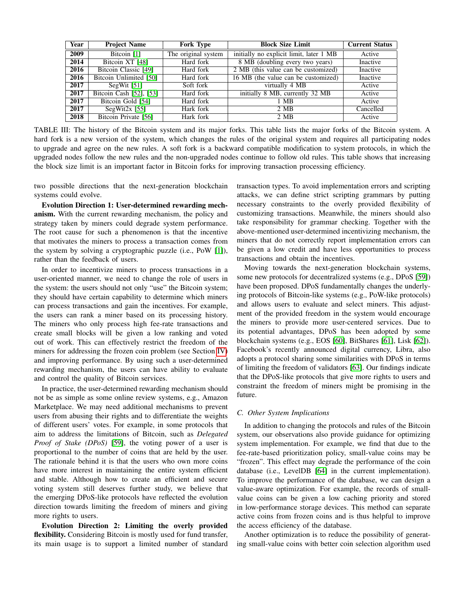<span id="page-10-0"></span>

| Year | <b>Project Name</b>     | <b>Fork Type</b>    | <b>Block Size Limit</b>                 | <b>Current Status</b> |
|------|-------------------------|---------------------|-----------------------------------------|-----------------------|
| 2009 | Bitcoin [1]             | The original system | initially no explicit limit, later 1 MB | Active                |
| 2014 | Bitcoin XT [48]         | Hard fork           | 8 MB (doubling every two years)         | Inactive              |
| 2016 | Bitcoin Classic [49]    | Hard fork           | 2 MB (this value can be customized)     | Inactive              |
| 2016 | Bitcoin Unlimited [50]  | Hard fork           | 16 MB (the value can be customized)     | Inactive              |
| 2017 | SegWit $[51]$           | Soft fork           | virtually 4 MB                          | Active                |
| 2017 | Bitcoin Cash [52], [53] | Hard fork           | initially 8 MB, currently 32 MB         | Active                |
| 2017 | Bitcoin Gold [54]       | Hard fork           | 1 MB                                    | Active                |
| 2017 | SegWit2x $[55]$         | Hark fork           | 2 MB                                    | Cancelled             |
| 2018 | Bitcoin Private [56]    | Hark fork           | 2 MB                                    | Active                |

TABLE III: The history of the Bitcoin system and its major forks. This table lists the major forks of the Bitcoin system. A hard fork is a new version of the system, which changes the rules of the original system and requires all participating nodes to upgrade and agree on the new rules. A soft fork is a backward compatible modification to system protocols, in which the upgraded nodes follow the new rules and the non-upgraded nodes continue to follow old rules. This table shows that increasing the block size limit is an important factor in Bitcoin forks for improving transaction processing efficiency.

two possible directions that the next-generation blockchain systems could evolve.

Evolution Direction 1: User-determined rewarding mechanism. With the current rewarding mechanism, the policy and strategy taken by miners could degrade system performance. The root cause for such a phenomenon is that the incentive that motivates the miners to process a transaction comes from the system by solving a cryptographic puzzle (i.e., PoW [\[1\]](#page-11-0)), rather than the feedback of users.

In order to incentivize miners to process transactions in a user-oriented manner, we need to change the role of users in the system: the users should not only "use" the Bitcoin system; they should have certain capability to determine which miners can process transactions and gain the incentives. For example, the users can rank a miner based on its processing history. The miners who only process high fee-rate transactions and create small blocks will be given a low ranking and voted out of work. This can effectively restrict the freedom of the miners for addressing the frozen coin problem (see Section [IV\)](#page-3-1) and improving performance. By using such a user-determined rewarding mechanism, the users can have ability to evaluate and control the quality of Bitcoin services.

In practice, the user-determined rewarding mechanism should not be as simple as some online review systems, e.g., Amazon Marketplace. We may need additional mechanisms to prevent users from abusing their rights and to differentiate the weights of different users' votes. For example, in some protocols that aim to address the limitations of Bitcoin, such as *Delegated Proof of Stake (DPoS)* [\[59\]](#page-12-43), the voting power of a user is proportional to the number of coins that are held by the user. The rationale behind it is that the users who own more coins have more interest in maintaining the entire system efficient and stable. Although how to create an efficient and secure voting system still deserves further study, we believe that the emerging DPoS-like protocols have reflected the evolution direction towards limiting the freedom of miners and giving more rights to users.

Evolution Direction 2: Limiting the overly provided flexibility. Considering Bitcoin is mostly used for fund transfer, its main usage is to support a limited number of standard transaction types. To avoid implementation errors and scripting attacks, we can define strict scripting grammars by putting necessary constraints to the overly provided flexibility of customizing transactions. Meanwhile, the miners should also take responsibility for grammar checking. Together with the above-mentioned user-determined incentivizing mechanism, the miners that do not correctly report implementation errors can be given a low credit and have less opportunities to process transactions and obtain the incentives.

Moving towards the next-generation blockchain systems, some new protocols for decentralized systems (e.g., DPoS [\[59\]](#page-12-43)) have been proposed. DPoS fundamentally changes the underlying protocols of Bitcoin-like systems (e.g., PoW-like protocols) and allows users to evaluate and select miners. This adjustment of the provided freedom in the system would encourage the miners to provide more user-centered services. Due to its potential advantages, DPoS has been adopted by some blockchain systems (e.g., EOS [\[60\]](#page-12-44), BitShares [\[61\]](#page-12-45), Lisk [\[62\]](#page-12-46)). Facebook's recently announced digital currency, Libra, also adopts a protocol sharing some similarities with DPoS in terms of limiting the freedom of validators [\[63\]](#page-12-47). Our findings indicate that the DPoS-like protocols that give more rights to users and constraint the freedom of miners might be promising in the future.

#### *C. Other System Implications*

In addition to changing the protocols and rules of the Bitcoin system, our observations also provide guidance for optimizing system implementation. For example, we find that due to the fee-rate-based prioritization policy, small-value coins may be "frozen". This effect may degrade the performance of the coin database (i.e., LevelDB [\[64\]](#page-12-48) in the current implementation). To improve the performance of the database, we can design a value-aware optimization. For example, the records of smallvalue coins can be given a low caching priority and stored in low-performance storage devices. This method can separate active coins from frozen coins and is thus helpful to improve the access efficiency of the database.

Another optimization is to reduce the possibility of generating small-value coins with better coin selection algorithm used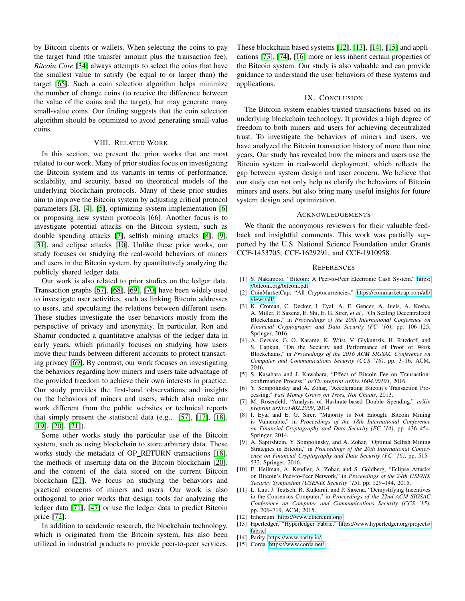by Bitcoin clients or wallets. When selecting the coins to pay the target fund (the transfer amount plus the transaction fee), *Bitcoin Core* [\[34\]](#page-12-18) always attempts to select the coins that have the smallest value to satisfy (be equal to or larger than) the target [\[65\]](#page-12-49). Such a coin selection algorithm helps minimize the number of change coins (to receive the difference between the value of the coins and the target), but may generate many small-value coins. Our finding suggests that the coin selection algorithm should be optimized to avoid generating small-value coins.

## VIII. RELATED WORK

<span id="page-11-15"></span>In this section, we present the prior works that are most related to our work. Many of prior studies focus on investigating the Bitcoin system and its variants in terms of performance, scalability, and security, based on theoretical models of the underlying blockchain protocols. Many of these prior studies aim to improve the Bitcoin system by adjusting critical protocol parameters [\[3\]](#page-11-2), [\[4\]](#page-11-3), [\[5\]](#page-11-4), optimizing system implementation [\[6\]](#page-11-5) or proposing new system protocols [\[66\]](#page-12-50). Another focus is to investigate potential attacks on the Bitcoin system, such as double spending attacks [\[7\]](#page-11-6), selfish mining attacks [\[8\]](#page-11-7), [\[9\]](#page-11-8), [\[31\]](#page-12-15), and eclipse attacks [\[10\]](#page-11-9). Unlike these prior works, our study focuses on studying the real-world behaviors of miners and users in the Bitcoin system, by quantitatively analyzing the publicly shared ledger data.

Our work is also related to prior studies on the ledger data. Transaction graphs [\[67\]](#page-12-51), [\[68\]](#page-12-52), [\[69\]](#page-12-53), [\[70\]](#page-12-54) have been widely used to investigate user activities, such as linking Bitcoin addresses to users, and speculating the relations between different users. These studies investigate the user behaviors mostly from the perspective of privacy and anonymity. In particular, Ron and Shamir conducted a quantitative analysis of the ledger data in early years, which primarily focuses on studying how users move their funds between different accounts to protect transacting privacy [\[69\]](#page-12-53). By contrast, our work focuses on investigating the behaviors regarding how miners and users take advantage of the provided freedom to achieve their own interests in practice. Our study provides the first-hand observations and insights on the behaviors of miners and users, which also make our work different from the public websites or technical reports that simply present the statistical data (e.g., [\[57\]](#page-12-34), [\[17\]](#page-12-1), [\[18\]](#page-12-2), [\[19\]](#page-12-3), [\[20\]](#page-12-4), [\[21\]](#page-12-5)).

Some other works study the particular use of the Bitcoin system, such as using blockchain to store arbitrary data. These works study the metadata of OP\_RETURN transactions [\[18\]](#page-12-2), the methods of inserting data on the Bitcoin blockchain [\[20\]](#page-12-4), and the content of the data stored on the current Bitcoin blockchain [\[21\]](#page-12-5). We focus on studying the behaviors and practical concerns of miners and users. Our work is also orthogonal to prior works that design tools for analyzing the ledger data [\[71\]](#page-12-55), [\[47\]](#page-12-31) or use the ledger data to predict Bitcoin price [\[72\]](#page-12-56).

In addition to academic research, the blockchain technology, which is originated from the Bitcoin system, has also been utilized in industrial products to provide peer-to-peer services. These blockchain based systems [\[12\]](#page-11-11), [\[13\]](#page-11-12), [\[14\]](#page-11-13), [\[15\]](#page-11-14) and applications [\[73\]](#page-12-57), [\[74\]](#page-12-58), [\[16\]](#page-12-0) more or less inherit certain properties of the Bitcoin system. Our study is also valuable and can provide guidance to understand the user behaviors of these systems and applications.

# IX. CONCLUSION

The Bitcoin system enables trusted transactions based on its underlying blockchain technology. It provides a high degree of freedom to both miners and users for achieving decentralized trust. To investigate the behaviors of miners and users, we have analyzed the Bitcoin transaction history of more than nine years. Our study has revealed how the miners and users use the Bitcoin system in real-world deployment, which reflects the gap between system design and user concern. We believe that our study can not only help us clarify the behaviors of Bitcoin miners and users, but also bring many useful insights for future system design and optimization.

## ACKNOWLEDGEMENTS

We thank the anonymous reviewers for their valuable feedback and insightful comments. This work was partially supported by the U.S. National Science Foundation under Grants CCF-1453705, CCF-1629291, and CCF-1910958.

#### **REFERENCES**

- <span id="page-11-0"></span>[1] S. Nakamoto, "Bitcoin: A Peer-to-Peer Electronic Cash System." [https:](https://bitcoin.org/bitcoin.pdf) [//bitcoin.org/bitcoin.pdf.](https://bitcoin.org/bitcoin.pdf)
- <span id="page-11-1"></span>[2] CoinMarketCap, "All Cryptocurrencies." [https://coinmarketcap.com/all/](https://coinmarketcap.com/all/views/all/) [views/all/.](https://coinmarketcap.com/all/views/all/)
- <span id="page-11-2"></span>[3] K. Croman, C. Decker, I. Eyal, A. E. Gencer, A. Juels, A. Kosba, A. Miller, P. Saxena, E. Shi, E. G. Sirer, *et al.*, "On Scaling Decentralized Blockchains," in *Proceedings of the 20th International Conference on Financial Cryptography and Data Security (FC '16)*, pp. 106–125, Springer, 2016.
- <span id="page-11-3"></span>[4] A. Gervais, G. O. Karame, K. Wüst, V. Glykantzis, H. Ritzdorf, and S. Capkun, "On the Security and Performance of Proof of Work Blockchains," in *Proceedings of the 2016 ACM SIGSAC Conference on Computer and Communications Security (CCS '16)*, pp. 3–16, ACM, 2016.
- <span id="page-11-4"></span>[5] S. Kasahara and J. Kawahara, "Effect of Bitcoin Fee on Transactionconfirmation Process," *arXiv preprint arXiv:1604.00103*, 2016.
- <span id="page-11-5"></span>[6] Y. Sompolinsky and A. Zohar, "Accelerating Bitcoin's Transaction Processing," *Fast Money Grows on Trees, Not Chains*, 2013.
- <span id="page-11-6"></span>[7] M. Rosenfeld, "Analysis of Hashrate-based Double Spending," *arXiv preprint arXiv:1402.2009*, 2014.
- <span id="page-11-7"></span>[8] I. Eyal and E. G. Sirer, "Majority is Not Enough: Bitcoin Mining is Vulnerable," in *Proceedings of the 18th International Conference on Financial Cryptography and Data Security (FC '14)*, pp. 436–454, Springer, 2014.
- <span id="page-11-8"></span>[9] A. Sapirshtein, Y. Sompolinsky, and A. Zohar, "Optimal Selfish Mining Strategies in Bitcoin," in *Proceedings of the 20th International Conference on Financial Cryptography and Data Security (FC '16)*, pp. 515– 532, Springer, 2016.
- <span id="page-11-9"></span>[10] E. Heilman, A. Kendler, A. Zohar, and S. Goldberg, "Eclipse Attacks on Bitcoin's Peer-to-Peer Network," in *Proceedings of the 24th USENIX Security Symposium (USENIX Security '15)*, pp. 129–144, 2015.
- <span id="page-11-10"></span>[11] L. Luu, J. Teutsch, R. Kulkarni, and P. Saxena, "Demystifying Incentives in the Consensus Computer," in *Proceedings of the 22nd ACM SIGSAC Conference on Computer and Communications Security (CCS '15)*, pp. 706–719, ACM, 2015.
- <span id="page-11-11"></span>[12] Ethereum. [https://www.ethereum.org/.](https://www.ethereum.org/)
- <span id="page-11-12"></span>[13] Hperledger, "Hyperledger Fabric." [https://www.hyperledger.org/projects/](https://www.hyperledger.org/projects/fabric) [fabric.](https://www.hyperledger.org/projects/fabric)
- <span id="page-11-13"></span>[14] Parity. [https://www.parity.io/.](https://www.parity.io/)
- <span id="page-11-14"></span>[15] Corda. [https://www.corda.net/.](https://www.corda.net/)